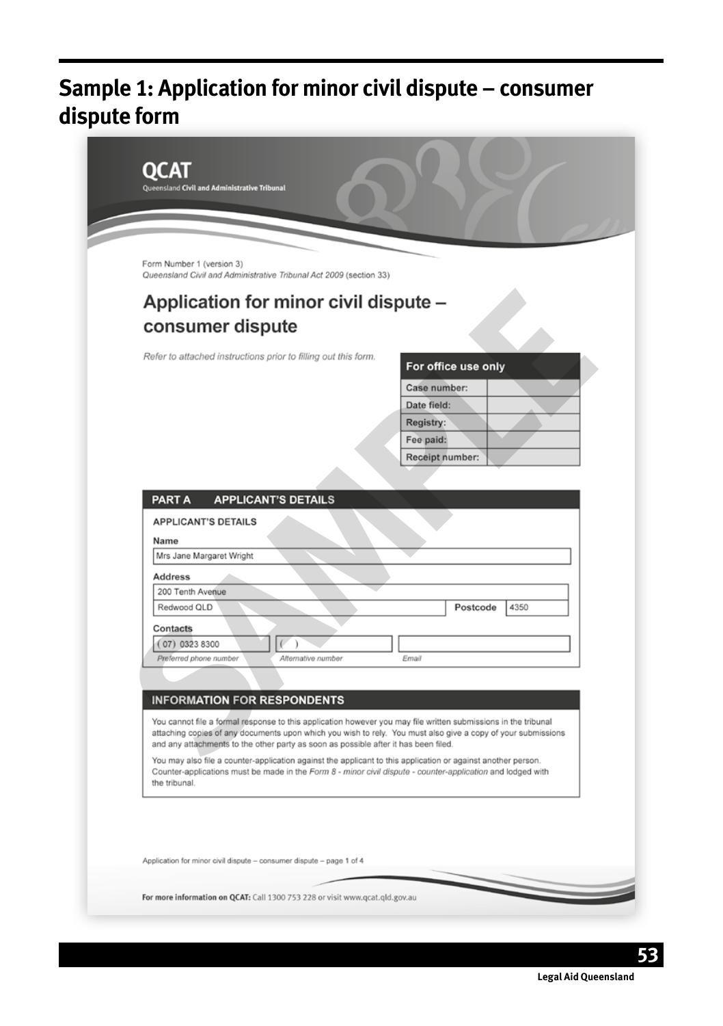# **Sample 1: Application for minor civil dispute – consumer dispute form**

**53**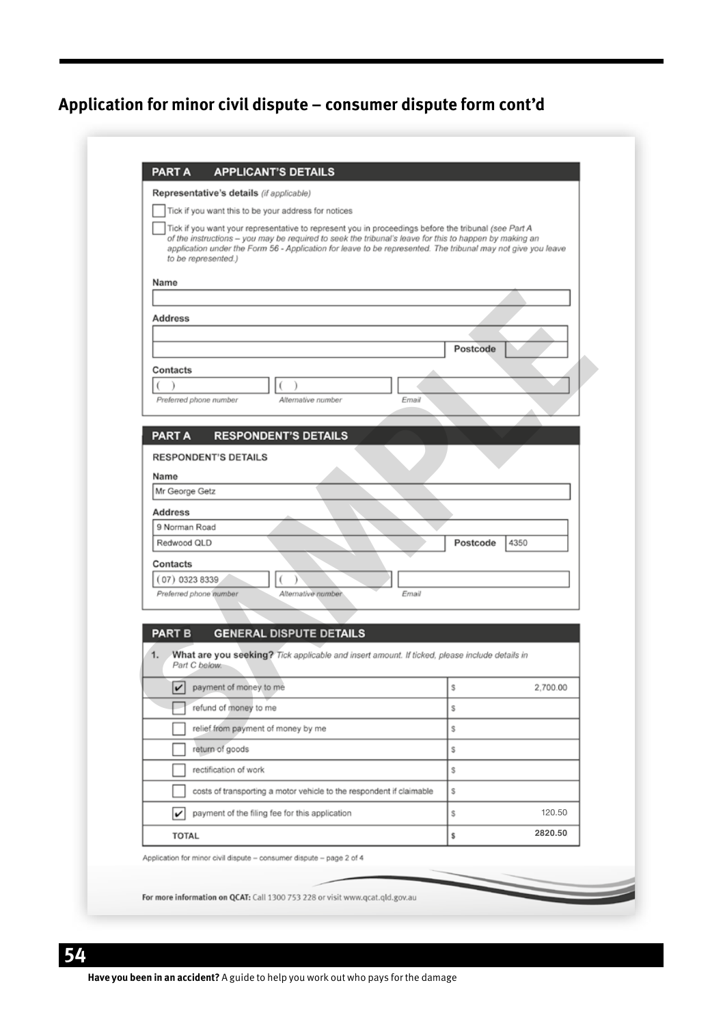| Representative's details (if applicable)                                                                                                                                                                                                                                                                                                              |          |                    |
|-------------------------------------------------------------------------------------------------------------------------------------------------------------------------------------------------------------------------------------------------------------------------------------------------------------------------------------------------------|----------|--------------------|
| Tick if you want this to be your address for notices                                                                                                                                                                                                                                                                                                  |          |                    |
| Tick if you want your representative to represent you in proceedings before the tribunal (see Part A<br>of the instructions - you may be required to seek the tribunal's leave for this to happen by making an<br>application under the Form 56 - Application for leave to be represented. The tribunal may not give you leave<br>to be represented.) |          |                    |
| Name                                                                                                                                                                                                                                                                                                                                                  |          |                    |
|                                                                                                                                                                                                                                                                                                                                                       |          |                    |
| Address                                                                                                                                                                                                                                                                                                                                               |          |                    |
|                                                                                                                                                                                                                                                                                                                                                       | Postcode |                    |
| Contacts                                                                                                                                                                                                                                                                                                                                              |          |                    |
| l<br>1                                                                                                                                                                                                                                                                                                                                                |          |                    |
| Preferred phone number<br>Alternative number<br>Email                                                                                                                                                                                                                                                                                                 |          |                    |
| <b>RESPONDENT'S DETAILS</b><br><b>PART A</b>                                                                                                                                                                                                                                                                                                          |          |                    |
| <b>RESPONDENT'S DETAILS</b>                                                                                                                                                                                                                                                                                                                           |          |                    |
| Name                                                                                                                                                                                                                                                                                                                                                  |          |                    |
|                                                                                                                                                                                                                                                                                                                                                       |          |                    |
| Mr George Getz                                                                                                                                                                                                                                                                                                                                        |          |                    |
| <b>Address</b>                                                                                                                                                                                                                                                                                                                                        |          |                    |
| 9 Norman Road                                                                                                                                                                                                                                                                                                                                         |          |                    |
| Redwood QLD                                                                                                                                                                                                                                                                                                                                           | Postcode | 4350               |
| Contacts                                                                                                                                                                                                                                                                                                                                              |          |                    |
| $(07)$ 0323 8339<br>$\lambda$                                                                                                                                                                                                                                                                                                                         |          |                    |
| Preferred phone number<br>Alternative number<br>Email                                                                                                                                                                                                                                                                                                 |          |                    |
|                                                                                                                                                                                                                                                                                                                                                       |          |                    |
| <b>GENERAL DISPUTE DETAILS</b><br><b>PART B</b>                                                                                                                                                                                                                                                                                                       |          |                    |
| 1.<br>What are you seeking? Tick applicable and insert amount. If ticked, please include details in<br>Part C below:                                                                                                                                                                                                                                  |          |                    |
| v<br>payment of money to me                                                                                                                                                                                                                                                                                                                           | s        |                    |
| refund of money to me                                                                                                                                                                                                                                                                                                                                 | s        |                    |
| relief from payment of money by me                                                                                                                                                                                                                                                                                                                    | s        |                    |
| return of goods                                                                                                                                                                                                                                                                                                                                       | s        |                    |
| rectification of work                                                                                                                                                                                                                                                                                                                                 | S        |                    |
| costs of transporting a motor vehicle to the respondent if claimable                                                                                                                                                                                                                                                                                  | s        |                    |
| payment of the filing fee for this application<br>v                                                                                                                                                                                                                                                                                                   | S        | 2.700.00<br>120.50 |

# **54**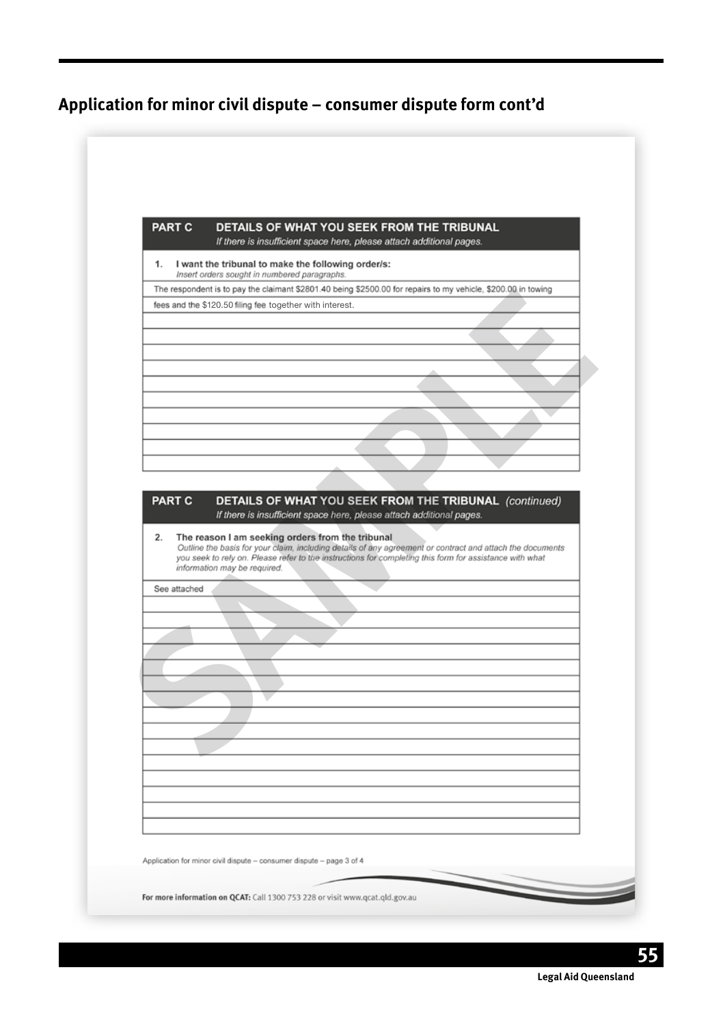|              | DETAILS OF WHAT YOU SEEK FROM THE TRIBUNAL<br>If there is insufficient space here, please attach additional pages.                                                                                                                                   |
|--------------|------------------------------------------------------------------------------------------------------------------------------------------------------------------------------------------------------------------------------------------------------|
| 1.           | I want the tribunal to make the following order/s:<br>Insert orders sought in numbered paragraphs.                                                                                                                                                   |
|              | The respondent is to pay the claimant \$2801.40 being \$2500.00 for repairs to my vehicle, \$200.00 in towing                                                                                                                                        |
|              | fees and the \$120.50 filing fee together with interest.                                                                                                                                                                                             |
|              |                                                                                                                                                                                                                                                      |
|              |                                                                                                                                                                                                                                                      |
|              |                                                                                                                                                                                                                                                      |
|              |                                                                                                                                                                                                                                                      |
|              | Outline the basis for your claim, including details of any agreement or contract and attach the documents<br>you seek to rely on. Please refer to the instructions for completing this form for assistance with what<br>information may be required. |
|              |                                                                                                                                                                                                                                                      |
| See attached |                                                                                                                                                                                                                                                      |
|              |                                                                                                                                                                                                                                                      |
|              |                                                                                                                                                                                                                                                      |
|              |                                                                                                                                                                                                                                                      |
|              |                                                                                                                                                                                                                                                      |
|              |                                                                                                                                                                                                                                                      |
|              |                                                                                                                                                                                                                                                      |
|              |                                                                                                                                                                                                                                                      |
|              |                                                                                                                                                                                                                                                      |
|              |                                                                                                                                                                                                                                                      |
|              |                                                                                                                                                                                                                                                      |
|              |                                                                                                                                                                                                                                                      |
|              |                                                                                                                                                                                                                                                      |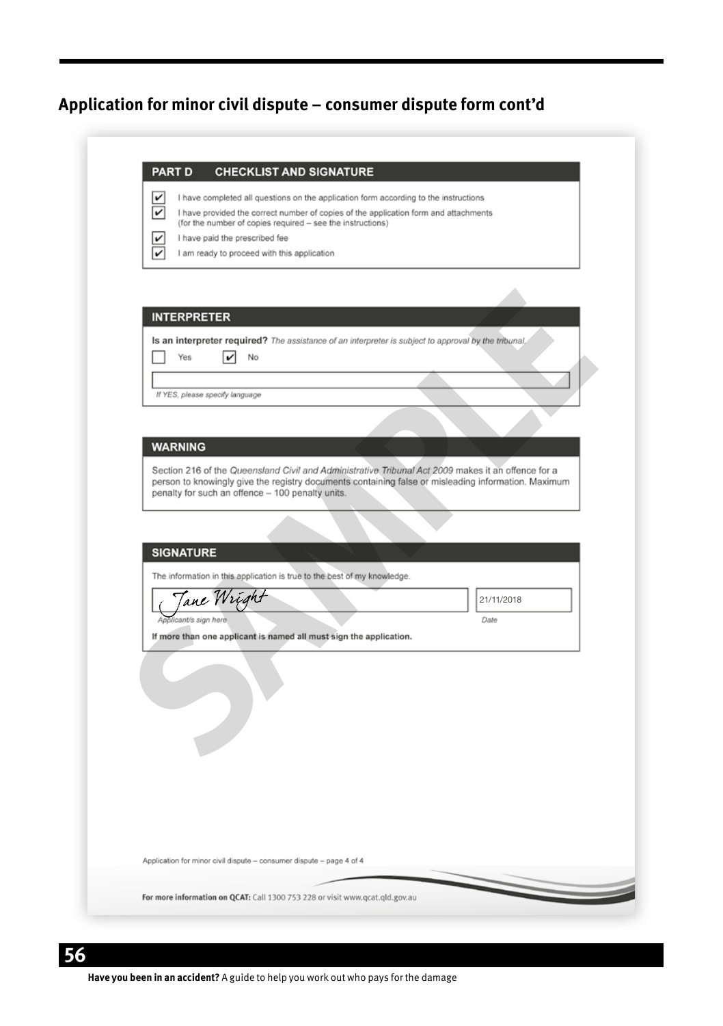| $\checkmark$<br>$\checkmark$ | I have completed all questions on the application form according to the instructions<br>I have provided the correct number of copies of the application form and attachments                              |
|------------------------------|-----------------------------------------------------------------------------------------------------------------------------------------------------------------------------------------------------------|
|                              | (for the number of copies required - see the instructions)                                                                                                                                                |
| v<br>v                       | I have paid the prescribed fee<br>I am ready to proceed with this application                                                                                                                             |
|                              |                                                                                                                                                                                                           |
|                              |                                                                                                                                                                                                           |
|                              | <b>INTERPRETER</b>                                                                                                                                                                                        |
|                              | Is an interpreter required? The assistance of an interpreter is subject to approval by the tribunal,                                                                                                      |
|                              | Yes<br>$\vert\bm{\mathsf{\nu}}\vert$<br>No                                                                                                                                                                |
|                              |                                                                                                                                                                                                           |
|                              | If YES, please specify language                                                                                                                                                                           |
|                              |                                                                                                                                                                                                           |
|                              | <b>WARNING</b>                                                                                                                                                                                            |
|                              |                                                                                                                                                                                                           |
|                              | Section 216 of the Queensland Civil and Administrative Tribunal Act 2009 makes it an offence for a<br>person to knowingly give the registry documents containing false or misleading information. Maximum |
|                              | penalty for such an offence - 100 penalty units.                                                                                                                                                          |
|                              |                                                                                                                                                                                                           |
|                              | <b>SIGNATURE</b>                                                                                                                                                                                          |
|                              |                                                                                                                                                                                                           |
|                              | The information in this application is true to the best of my knowledge.                                                                                                                                  |
|                              | 'ane Wris<br>21/11/2018                                                                                                                                                                                   |
|                              | Applicant/s sign here<br>Date<br>If more than one applicant is named all must sign the application.                                                                                                       |
|                              |                                                                                                                                                                                                           |
|                              |                                                                                                                                                                                                           |
|                              |                                                                                                                                                                                                           |
|                              |                                                                                                                                                                                                           |
|                              |                                                                                                                                                                                                           |
|                              |                                                                                                                                                                                                           |
|                              |                                                                                                                                                                                                           |
|                              |                                                                                                                                                                                                           |
|                              |                                                                                                                                                                                                           |
|                              |                                                                                                                                                                                                           |
|                              |                                                                                                                                                                                                           |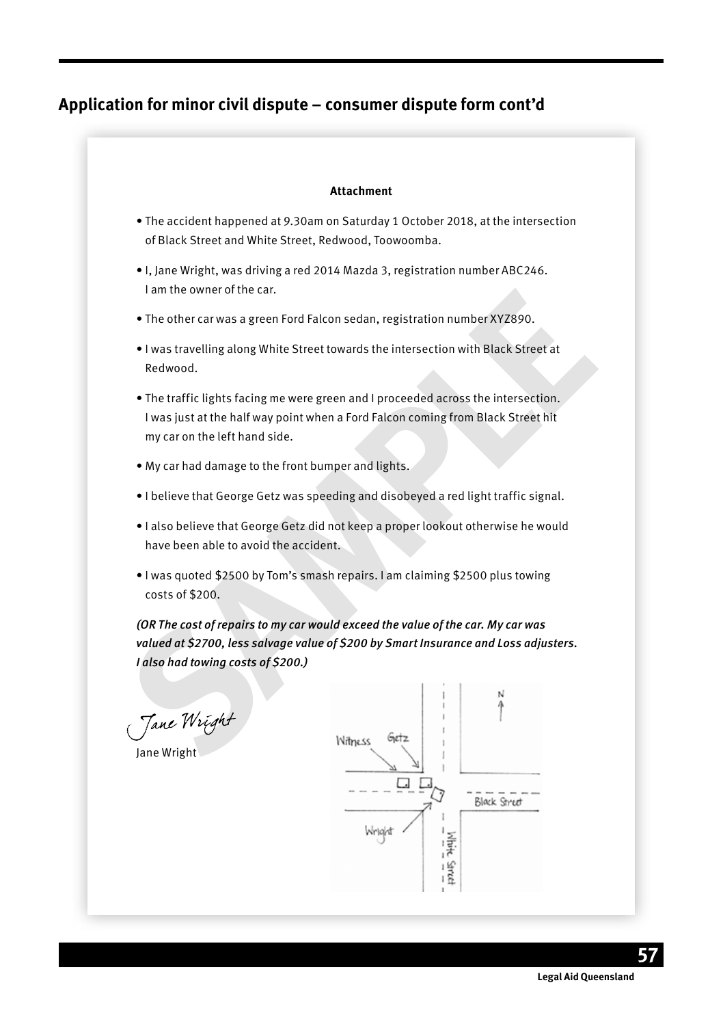#### **Attachment**

- The accident happened at 9.30am on Saturday 1 October 2018, at the intersection of Black Street and White Street, Redwood, Toowoomba.
- I, Jane Wright, was driving a red 2014 Mazda 3, registration number ABC246. I am the owner of the car.
- The other car was a green Ford Falcon sedan, registration number XYZ890.
- I was travelling along White Street towards the intersection with Black Street at Redwood.
- The traffic lights facing me were green and I proceeded across the intersection. I was just at the half way point when a Ford Falcon coming from Black Street hit my car on the left hand side.
- My car had damage to the front bumper and lights.
- I believe that George Getz was speeding and disobeyed a red light traffic signal.
- I also believe that George Getz did not keep a proper lookout otherwise he would have been able to avoid the accident.
- I was quoted \$2500 by Tom's smash repairs. I am claiming \$2500 plus towing costs of \$200.

**Solution** The context of the case of the case of the case of the case of the case of the case of the case of the case of the intersection with Black Street at Redwood.<br>
• The traffic lights facing me were green and I proc *(OR The cost of repairs to my car would exceed the value of the car. My car was valued at \$2700, less salvage value of \$200 by Smart Insurance and Loss adjusters. I also had towing costs of \$200.)*

Jane Wright<br>Jane Wright



**Legal Aid Queensland**

**57**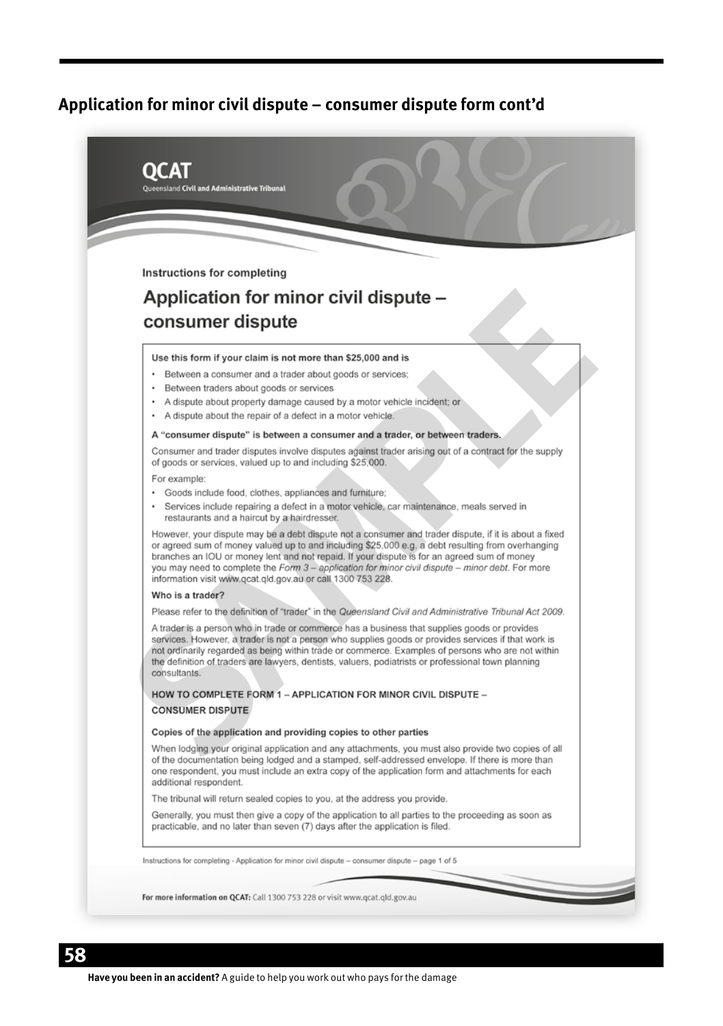| Queensland Civil and Administrative Tribunal                                                                                                                                                                                                                                                                                                                                                                                                                                 |
|------------------------------------------------------------------------------------------------------------------------------------------------------------------------------------------------------------------------------------------------------------------------------------------------------------------------------------------------------------------------------------------------------------------------------------------------------------------------------|
|                                                                                                                                                                                                                                                                                                                                                                                                                                                                              |
|                                                                                                                                                                                                                                                                                                                                                                                                                                                                              |
| Instructions for completing                                                                                                                                                                                                                                                                                                                                                                                                                                                  |
| Application for minor civil dispute -                                                                                                                                                                                                                                                                                                                                                                                                                                        |
| consumer dispute                                                                                                                                                                                                                                                                                                                                                                                                                                                             |
|                                                                                                                                                                                                                                                                                                                                                                                                                                                                              |
| Use this form if your claim is not more than \$25,000 and is                                                                                                                                                                                                                                                                                                                                                                                                                 |
| • Between a consumer and a trader about goods or services;                                                                                                                                                                                                                                                                                                                                                                                                                   |
| • Between traders about goods or services<br>• A dispute about property damage caused by a motor vehicle incident; or                                                                                                                                                                                                                                                                                                                                                        |
| • A dispute about the repair of a defect in a motor vehicle.                                                                                                                                                                                                                                                                                                                                                                                                                 |
| A "consumer dispute" is between a consumer and a trader, or between traders.                                                                                                                                                                                                                                                                                                                                                                                                 |
| Consumer and trader disputes involve disputes against trader arising out of a contract for the supply<br>of goods or services, valued up to and including \$25,000.                                                                                                                                                                                                                                                                                                          |
| For example:                                                                                                                                                                                                                                                                                                                                                                                                                                                                 |
| · Goods include food, clothes, appliances and furniture;<br>· Services include repairing a defect in a motor vehicle, car maintenance, meals served in<br>restaurants and a haircut by a hairdresser.                                                                                                                                                                                                                                                                        |
| However, your dispute may be a debt dispute not a consumer and trader dispute, if it is about a fixed<br>or agreed sum of money valued up to and including \$25,000 e.g. a debt resulting from overhanging<br>branches an IOU or money lent and not repaid. If your dispute is for an agreed sum of money<br>you may need to complete the Form 3 - application for minor civil dispute - minor debt. For more<br>information visit www.qcat.qld.gov.au or call 1300 753 228. |
| Who is a trader?                                                                                                                                                                                                                                                                                                                                                                                                                                                             |
| Please refer to the definition of "trader" in the Queensland Civil and Administrative Tribunal Act 2009.                                                                                                                                                                                                                                                                                                                                                                     |
| A trader is a person who in trade or commerce has a business that supplies goods or provides<br>services. However, a trader is not a person who supplies goods or provides services if that work is<br>not ordinarily regarded as being within trade or commerce. Examples of persons who are not within<br>the definition of traders are lawyers, dentists, valuers, podiatrists or professional town planning<br>consultants.                                              |
| HOW TO COMPLETE FORM 1 - APPLICATION FOR MINOR CIVIL DISPUTE -                                                                                                                                                                                                                                                                                                                                                                                                               |
| <b>CONSUMER DISPUTE</b>                                                                                                                                                                                                                                                                                                                                                                                                                                                      |
| Copies of the application and providing copies to other parties                                                                                                                                                                                                                                                                                                                                                                                                              |
| When lodging your original application and any attachments, you must also provide two copies of all<br>of the documentation being lodged and a stamped, self-addressed envelope. If there is more than<br>one respondent, you must include an extra copy of the application form and attachments for each<br>additional respondent.                                                                                                                                          |
| The tribunal will return sealed copies to you, at the address you provide.                                                                                                                                                                                                                                                                                                                                                                                                   |
| Generally, you must then give a copy of the application to all parties to the proceeding as soon as<br>practicable, and no later than seven (7) days after the application is filed.                                                                                                                                                                                                                                                                                         |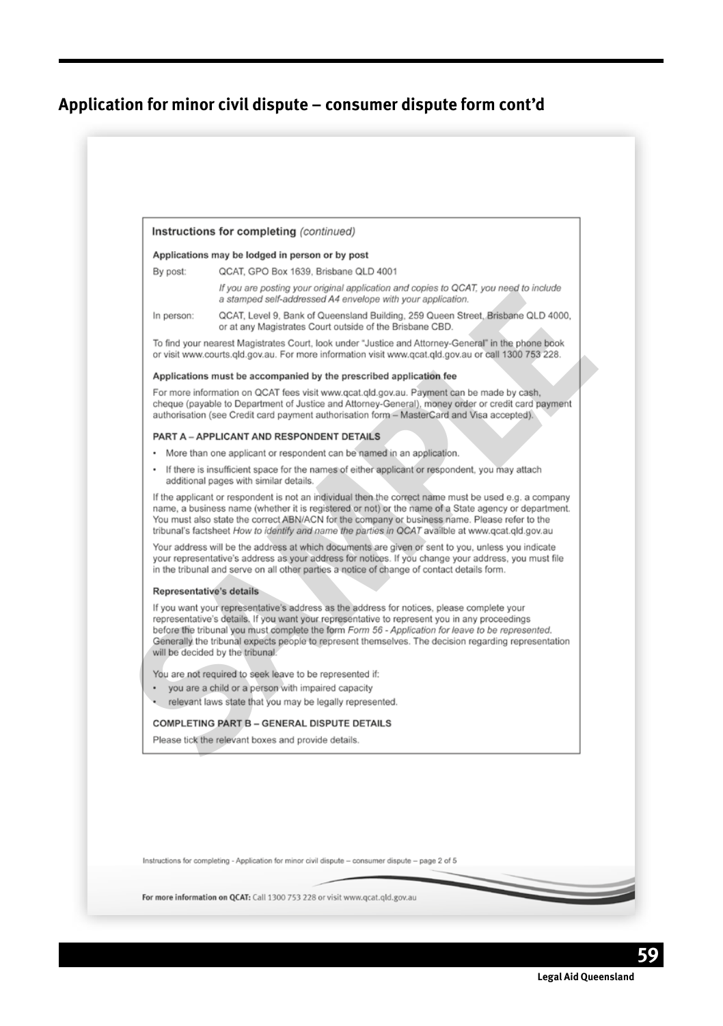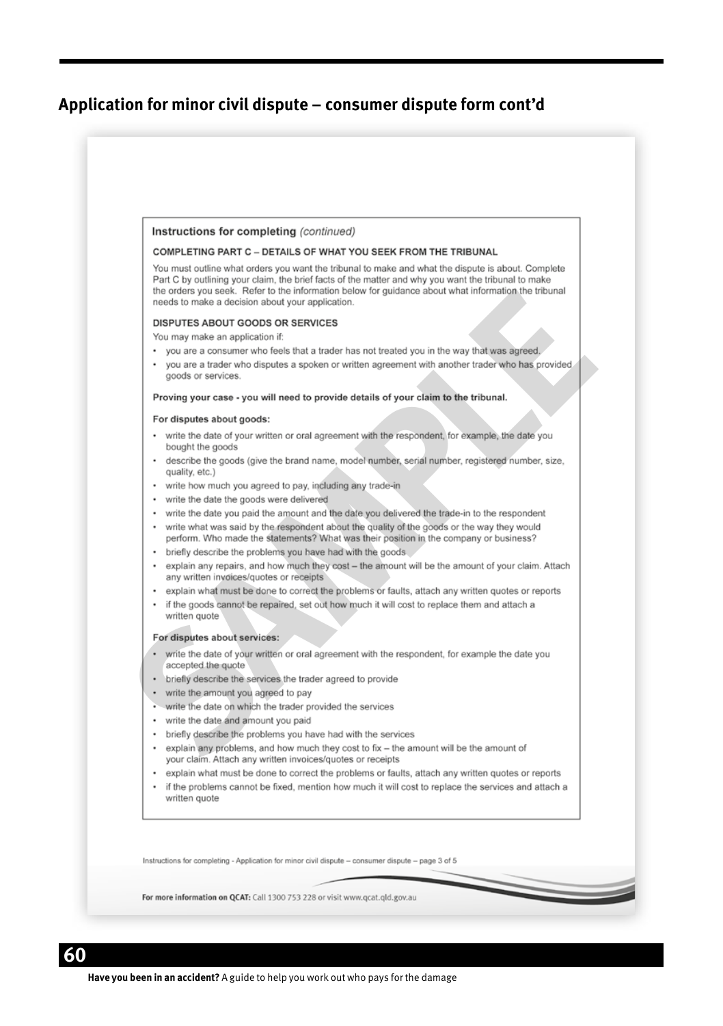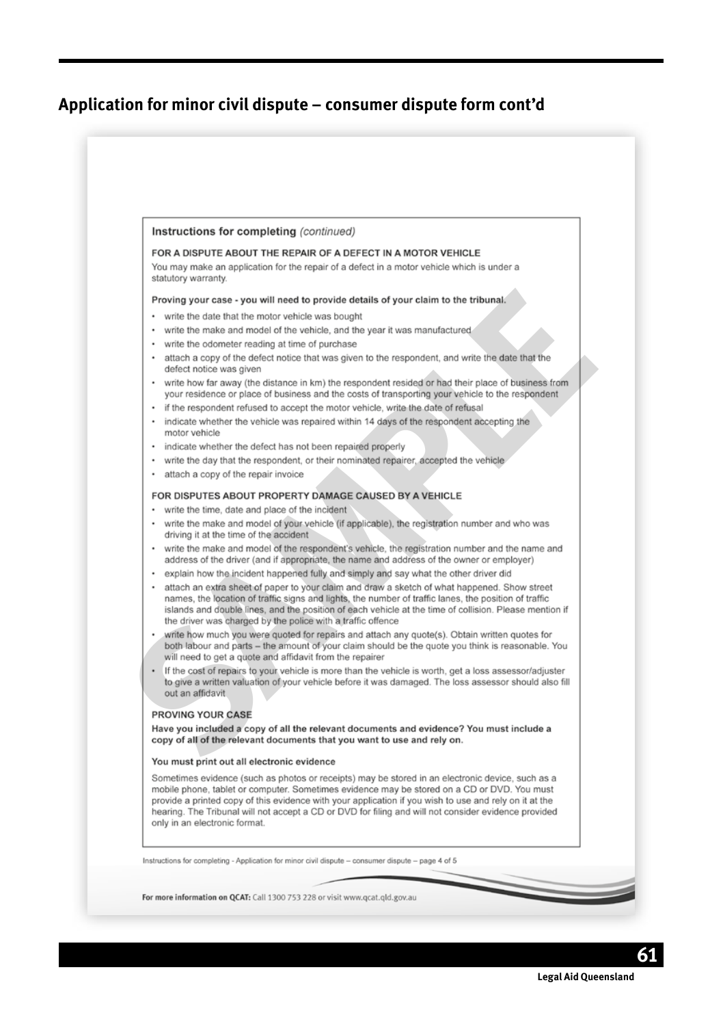